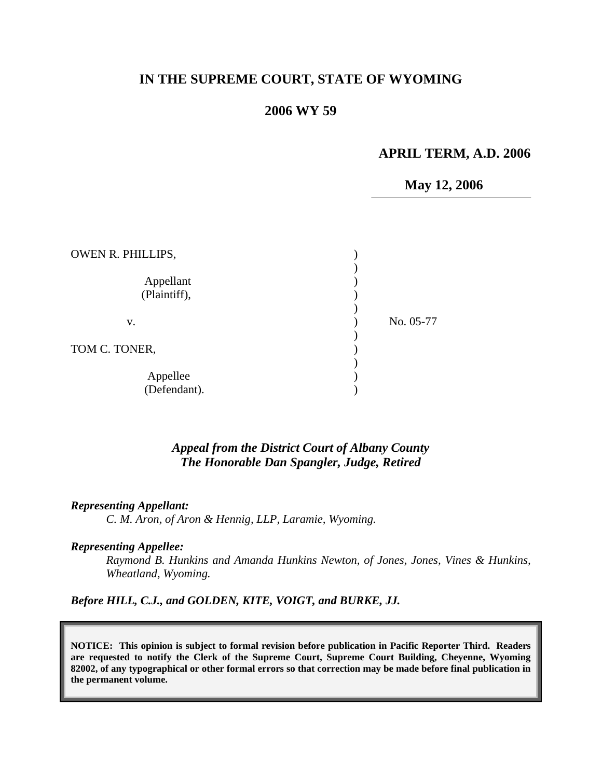## **IN THE SUPREME COURT, STATE OF WYOMING**

## **2006 WY 59**

#### **APRIL TERM, A.D. 2006**

# **May 12, 2006**

| OWEN R. PHILLIPS,         |           |
|---------------------------|-----------|
| Appellant<br>(Plaintiff), |           |
| v.                        | No. 05-77 |
| TOM C. TONER,             |           |
| Appellee<br>(Defendant).  |           |

## *Appeal from the District Court of Albany County The Honorable Dan Spangler, Judge, Retired*

#### *Representing Appellant:*

*C. M. Aron, of Aron & Hennig, LLP, Laramie, Wyoming.* 

#### *Representing Appellee:*

*Raymond B. Hunkins and Amanda Hunkins Newton, of Jones, Jones, Vines & Hunkins, Wheatland, Wyoming.* 

*Before HILL, C.J., and GOLDEN, KITE, VOIGT, and BURKE, JJ.* 

**NOTICE: This opinion is subject to formal revision before publication in Pacific Reporter Third. Readers are requested to notify the Clerk of the Supreme Court, Supreme Court Building, Cheyenne, Wyoming 82002, of any typographical or other formal errors so that correction may be made before final publication in the permanent volume.**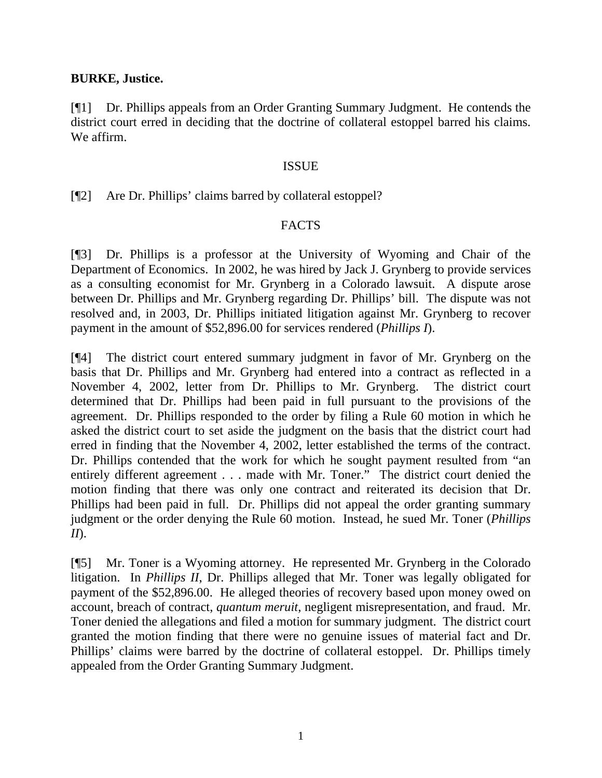## **BURKE, Justice.**

[¶1] Dr. Phillips appeals from an Order Granting Summary Judgment. He contends the district court erred in deciding that the doctrine of collateral estoppel barred his claims. We affirm.

## ISSUE

[¶2] Are Dr. Phillips' claims barred by collateral estoppel?

## FACTS

[¶3] Dr. Phillips is a professor at the University of Wyoming and Chair of the Department of Economics. In 2002, he was hired by Jack J. Grynberg to provide services as a consulting economist for Mr. Grynberg in a Colorado lawsuit. A dispute arose between Dr. Phillips and Mr. Grynberg regarding Dr. Phillips' bill. The dispute was not resolved and, in 2003, Dr. Phillips initiated litigation against Mr. Grynberg to recover payment in the amount of \$52,896.00 for services rendered (*Phillips I*).

[¶4] The district court entered summary judgment in favor of Mr. Grynberg on the basis that Dr. Phillips and Mr. Grynberg had entered into a contract as reflected in a November 4, 2002, letter from Dr. Phillips to Mr. Grynberg. The district court determined that Dr. Phillips had been paid in full pursuant to the provisions of the agreement. Dr. Phillips responded to the order by filing a Rule 60 motion in which he asked the district court to set aside the judgment on the basis that the district court had erred in finding that the November 4, 2002, letter established the terms of the contract. Dr. Phillips contended that the work for which he sought payment resulted from "an entirely different agreement . . . made with Mr. Toner." The district court denied the motion finding that there was only one contract and reiterated its decision that Dr. Phillips had been paid in full. Dr. Phillips did not appeal the order granting summary judgment or the order denying the Rule 60 motion. Instead, he sued Mr. Toner (*Phillips II*).

[¶5] Mr. Toner is a Wyoming attorney. He represented Mr. Grynberg in the Colorado litigation. In *Phillips II*, Dr. Phillips alleged that Mr. Toner was legally obligated for payment of the \$52,896.00. He alleged theories of recovery based upon money owed on account, breach of contract, *quantum meruit*, negligent misrepresentation, and fraud. Mr. Toner denied the allegations and filed a motion for summary judgment. The district court granted the motion finding that there were no genuine issues of material fact and Dr. Phillips' claims were barred by the doctrine of collateral estoppel. Dr. Phillips timely appealed from the Order Granting Summary Judgment.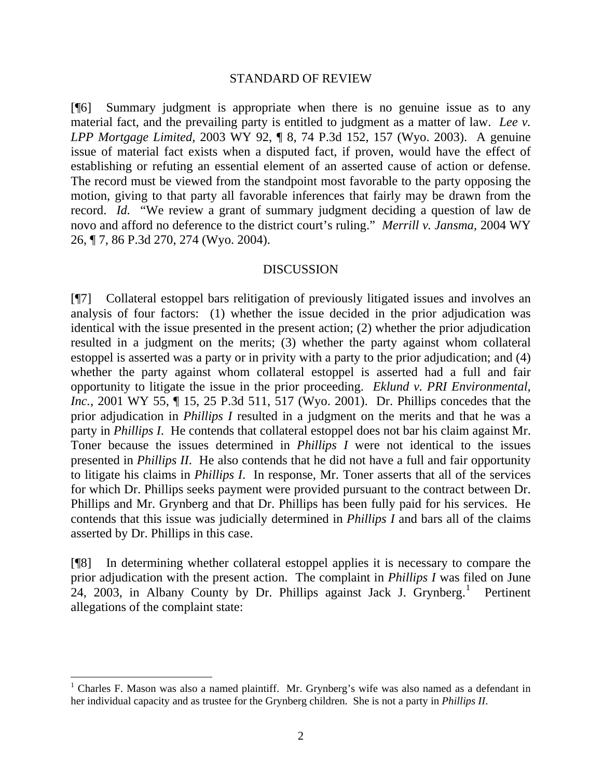#### STANDARD OF REVIEW

[¶6] Summary judgment is appropriate when there is no genuine issue as to any material fact, and the prevailing party is entitled to judgment as a matter of law. *Lee v. LPP Mortgage Limited,* 2003 WY 92, ¶ 8, 74 P.3d 152, 157 (Wyo. 2003). A genuine issue of material fact exists when a disputed fact, if proven, would have the effect of establishing or refuting an essential element of an asserted cause of action or defense. The record must be viewed from the standpoint most favorable to the party opposing the motion, giving to that party all favorable inferences that fairly may be drawn from the record. *Id.* "We review a grant of summary judgment deciding a question of law de novo and afford no deference to the district court's ruling." *Merrill v. Jansma,* 2004 WY 26, ¶ 7, 86 P.3d 270, 274 (Wyo. 2004).

#### DISCUSSION

[¶7] Collateral estoppel bars relitigation of previously litigated issues and involves an analysis of four factors: (1) whether the issue decided in the prior adjudication was identical with the issue presented in the present action; (2) whether the prior adjudication resulted in a judgment on the merits; (3) whether the party against whom collateral estoppel is asserted was a party or in privity with a party to the prior adjudication; and (4) whether the party against whom collateral estoppel is asserted had a full and fair opportunity to litigate the issue in the prior proceeding. *Eklund v. PRI Environmental, Inc.*, 2001 WY 55, ¶ 15, 25 P.3d 511, 517 (Wyo. 2001). Dr. Phillips concedes that the prior adjudication in *Phillips I* resulted in a judgment on the merits and that he was a party in *Phillips I*. He contends that collateral estoppel does not bar his claim against Mr. Toner because the issues determined in *Phillips I* were not identical to the issues presented in *Phillips II*. He also contends that he did not have a full and fair opportunity to litigate his claims in *Phillips I*. In response, Mr. Toner asserts that all of the services for which Dr. Phillips seeks payment were provided pursuant to the contract between Dr. Phillips and Mr. Grynberg and that Dr. Phillips has been fully paid for his services. He contends that this issue was judicially determined in *Phillips I* and bars all of the claims asserted by Dr. Phillips in this case.

[¶8] In determining whether collateral estoppel applies it is necessary to compare the prior adjudication with the present action. The complaint in *Phillips I* was filed on June  $24$ , 2003, in Albany County by Dr. Phillips against Jack J. Grynberg.<sup>[1](#page-2-0)</sup> Pertinent allegations of the complaint state:

 $\overline{a}$ 

<span id="page-2-0"></span><sup>&</sup>lt;sup>1</sup> Charles F. Mason was also a named plaintiff. Mr. Grynberg's wife was also named as a defendant in her individual capacity and as trustee for the Grynberg children. She is not a party in *Phillips II*.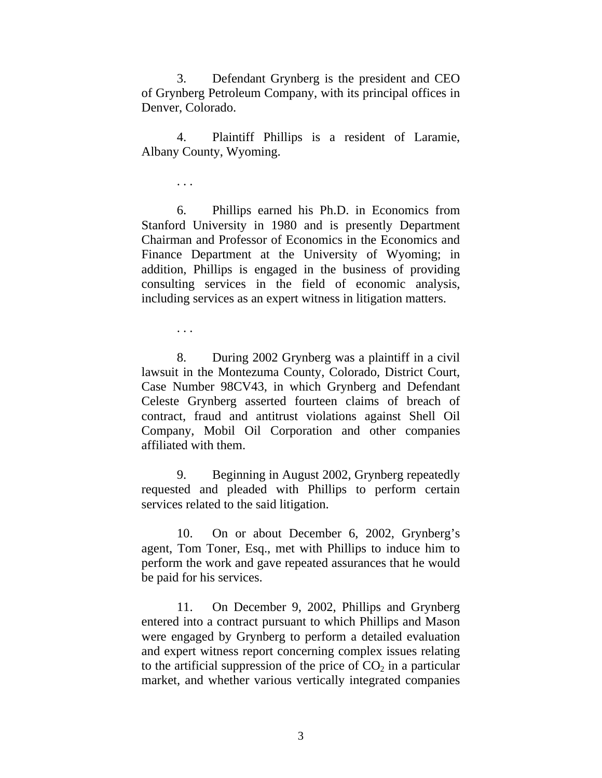3. Defendant Grynberg is the president and CEO of Grynberg Petroleum Company, with its principal offices in Denver, Colorado.

4. Plaintiff Phillips is a resident of Laramie, Albany County, Wyoming.

 6. Phillips earned his Ph.D. in Economics from Stanford University in 1980 and is presently Department Chairman and Professor of Economics in the Economics and Finance Department at the University of Wyoming; in addition, Phillips is engaged in the business of providing consulting services in the field of economic analysis, including services as an expert witness in litigation matters.

. . .

. . .

8. During 2002 Grynberg was a plaintiff in a civil lawsuit in the Montezuma County, Colorado, District Court, Case Number 98CV43, in which Grynberg and Defendant Celeste Grynberg asserted fourteen claims of breach of contract, fraud and antitrust violations against Shell Oil Company, Mobil Oil Corporation and other companies affiliated with them.

9. Beginning in August 2002, Grynberg repeatedly requested and pleaded with Phillips to perform certain services related to the said litigation.

10. On or about December 6, 2002, Grynberg's agent, Tom Toner, Esq., met with Phillips to induce him to perform the work and gave repeated assurances that he would be paid for his services.

11. On December 9, 2002, Phillips and Grynberg entered into a contract pursuant to which Phillips and Mason were engaged by Grynberg to perform a detailed evaluation and expert witness report concerning complex issues relating to the artificial suppression of the price of  $CO<sub>2</sub>$  in a particular market, and whether various vertically integrated companies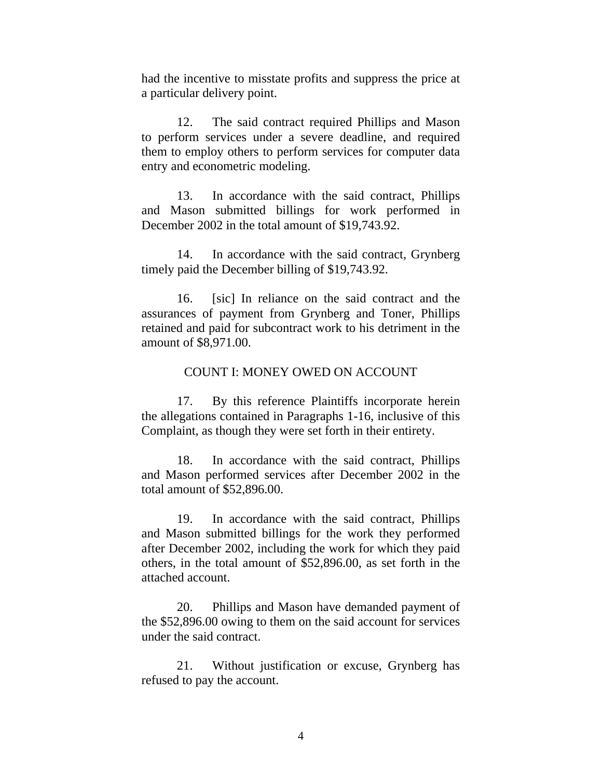had the incentive to misstate profits and suppress the price at a particular delivery point.

12. The said contract required Phillips and Mason to perform services under a severe deadline, and required them to employ others to perform services for computer data entry and econometric modeling.

13. In accordance with the said contract, Phillips and Mason submitted billings for work performed in December 2002 in the total amount of \$19,743.92.

14. In accordance with the said contract, Grynberg timely paid the December billing of \$19,743.92.

16. [sic] In reliance on the said contract and the assurances of payment from Grynberg and Toner, Phillips retained and paid for subcontract work to his detriment in the amount of \$8,971.00.

#### COUNT I: MONEY OWED ON ACCOUNT

17. By this reference Plaintiffs incorporate herein the allegations contained in Paragraphs 1-16, inclusive of this Complaint, as though they were set forth in their entirety.

18. In accordance with the said contract, Phillips and Mason performed services after December 2002 in the total amount of \$52,896.00.

19. In accordance with the said contract, Phillips and Mason submitted billings for the work they performed after December 2002, including the work for which they paid others, in the total amount of \$52,896.00, as set forth in the attached account.

20. Phillips and Mason have demanded payment of the \$52,896.00 owing to them on the said account for services under the said contract.

21. Without justification or excuse, Grynberg has refused to pay the account.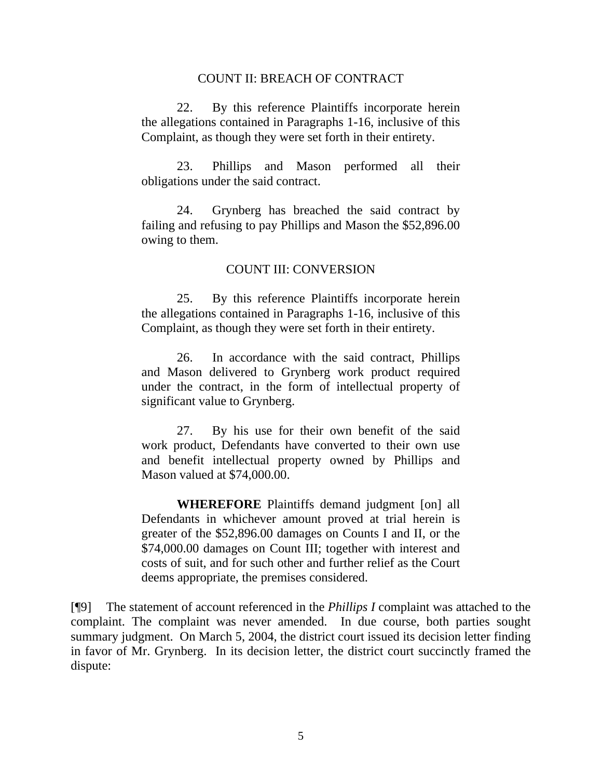#### COUNT II: BREACH OF CONTRACT

22. By this reference Plaintiffs incorporate herein the allegations contained in Paragraphs 1-16, inclusive of this Complaint, as though they were set forth in their entirety.

23. Phillips and Mason performed all their obligations under the said contract.

24. Grynberg has breached the said contract by failing and refusing to pay Phillips and Mason the \$52,896.00 owing to them.

#### COUNT III: CONVERSION

25. By this reference Plaintiffs incorporate herein the allegations contained in Paragraphs 1-16, inclusive of this Complaint, as though they were set forth in their entirety.

26. In accordance with the said contract, Phillips and Mason delivered to Grynberg work product required under the contract, in the form of intellectual property of significant value to Grynberg.

27. By his use for their own benefit of the said work product, Defendants have converted to their own use and benefit intellectual property owned by Phillips and Mason valued at \$74,000.00.

**WHEREFORE** Plaintiffs demand judgment [on] all Defendants in whichever amount proved at trial herein is greater of the \$52,896.00 damages on Counts I and II, or the \$74,000.00 damages on Count III; together with interest and costs of suit, and for such other and further relief as the Court deems appropriate, the premises considered.

[¶9] The statement of account referenced in the *Phillips I* complaint was attached to the complaint. The complaint was never amended. In due course, both parties sought summary judgment. On March 5, 2004, the district court issued its decision letter finding in favor of Mr. Grynberg. In its decision letter, the district court succinctly framed the dispute: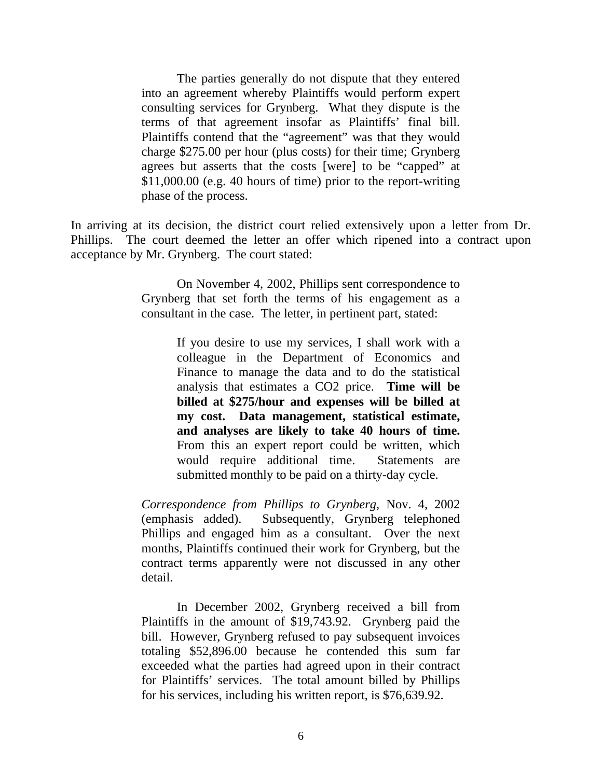The parties generally do not dispute that they entered into an agreement whereby Plaintiffs would perform expert consulting services for Grynberg. What they dispute is the terms of that agreement insofar as Plaintiffs' final bill. Plaintiffs contend that the "agreement" was that they would charge \$275.00 per hour (plus costs) for their time; Grynberg agrees but asserts that the costs [were] to be "capped" at \$11,000.00 (e.g. 40 hours of time) prior to the report-writing phase of the process.

In arriving at its decision, the district court relied extensively upon a letter from Dr. Phillips. The court deemed the letter an offer which ripened into a contract upon acceptance by Mr. Grynberg. The court stated:

> On November 4, 2002, Phillips sent correspondence to Grynberg that set forth the terms of his engagement as a consultant in the case. The letter, in pertinent part, stated:

> > If you desire to use my services, I shall work with a colleague in the Department of Economics and Finance to manage the data and to do the statistical analysis that estimates a CO2 price. **Time will be billed at \$275/hour and expenses will be billed at my cost. Data management, statistical estimate, and analyses are likely to take 40 hours of time.**  From this an expert report could be written, which would require additional time. Statements are submitted monthly to be paid on a thirty-day cycle.

*Correspondence from Phillips to Grynberg,* Nov. 4, 2002 (emphasis added). Subsequently, Grynberg telephoned Phillips and engaged him as a consultant. Over the next months, Plaintiffs continued their work for Grynberg, but the contract terms apparently were not discussed in any other detail.

 In December 2002, Grynberg received a bill from Plaintiffs in the amount of \$19,743.92. Grynberg paid the bill. However, Grynberg refused to pay subsequent invoices totaling \$52,896.00 because he contended this sum far exceeded what the parties had agreed upon in their contract for Plaintiffs' services. The total amount billed by Phillips for his services, including his written report, is \$76,639.92.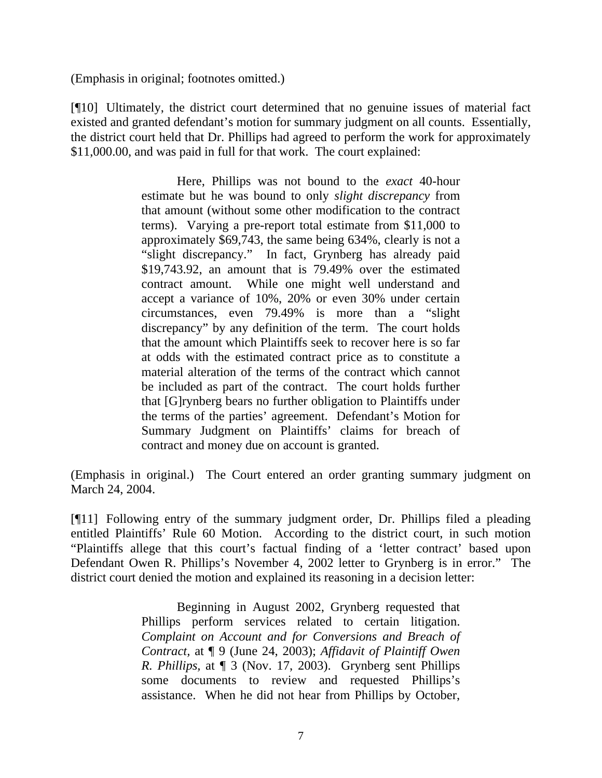(Emphasis in original; footnotes omitted.)

[¶10] Ultimately, the district court determined that no genuine issues of material fact existed and granted defendant's motion for summary judgment on all counts. Essentially, the district court held that Dr. Phillips had agreed to perform the work for approximately \$11,000.00, and was paid in full for that work. The court explained:

> Here, Phillips was not bound to the *exact* 40-hour estimate but he was bound to only *slight discrepancy* from that amount (without some other modification to the contract terms). Varying a pre-report total estimate from \$11,000 to approximately \$69,743, the same being 634%, clearly is not a "slight discrepancy." In fact, Grynberg has already paid \$19,743.92, an amount that is 79.49% over the estimated contract amount. While one might well understand and accept a variance of 10%, 20% or even 30% under certain circumstances, even 79.49% is more than a "slight discrepancy" by any definition of the term. The court holds that the amount which Plaintiffs seek to recover here is so far at odds with the estimated contract price as to constitute a material alteration of the terms of the contract which cannot be included as part of the contract. The court holds further that [G]rynberg bears no further obligation to Plaintiffs under the terms of the parties' agreement. Defendant's Motion for Summary Judgment on Plaintiffs' claims for breach of contract and money due on account is granted.

(Emphasis in original.) The Court entered an order granting summary judgment on March 24, 2004.

[¶11] Following entry of the summary judgment order, Dr. Phillips filed a pleading entitled Plaintiffs' Rule 60 Motion. According to the district court, in such motion "Plaintiffs allege that this court's factual finding of a 'letter contract' based upon Defendant Owen R. Phillips's November 4, 2002 letter to Grynberg is in error." The district court denied the motion and explained its reasoning in a decision letter:

> Beginning in August 2002, Grynberg requested that Phillips perform services related to certain litigation. *Complaint on Account and for Conversions and Breach of Contract,* at ¶ 9 (June 24, 2003); *Affidavit of Plaintiff Owen R. Phillips,* at ¶ 3 (Nov. 17, 2003). Grynberg sent Phillips some documents to review and requested Phillips's assistance. When he did not hear from Phillips by October,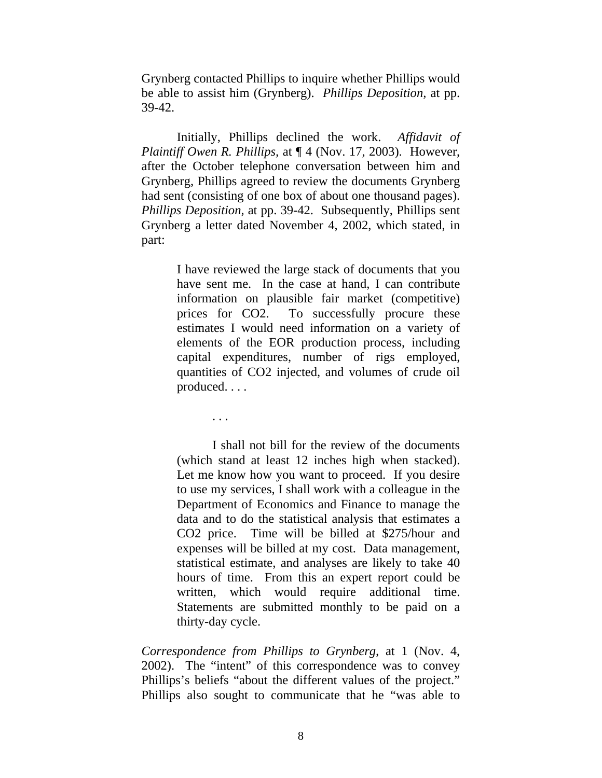Grynberg contacted Phillips to inquire whether Phillips would be able to assist him (Grynberg). *Phillips Deposition,* at pp. 39-42.

Initially, Phillips declined the work. *Affidavit of Plaintiff Owen R. Phillips,* at ¶ 4 (Nov. 17, 2003). However, after the October telephone conversation between him and Grynberg, Phillips agreed to review the documents Grynberg had sent (consisting of one box of about one thousand pages). *Phillips Deposition,* at pp. 39-42. Subsequently, Phillips sent Grynberg a letter dated November 4, 2002, which stated, in part:

> I have reviewed the large stack of documents that you have sent me. In the case at hand, I can contribute information on plausible fair market (competitive) prices for CO2. To successfully procure these estimates I would need information on a variety of elements of the EOR production process, including capital expenditures, number of rigs employed, quantities of CO2 injected, and volumes of crude oil produced. . . .

> > . . .

I shall not bill for the review of the documents (which stand at least 12 inches high when stacked). Let me know how you want to proceed. If you desire to use my services, I shall work with a colleague in the Department of Economics and Finance to manage the data and to do the statistical analysis that estimates a CO2 price. Time will be billed at \$275/hour and expenses will be billed at my cost. Data management, statistical estimate, and analyses are likely to take 40 hours of time. From this an expert report could be written, which would require additional time. Statements are submitted monthly to be paid on a thirty-day cycle.

*Correspondence from Phillips to Grynberg,* at 1 (Nov. 4, 2002). The "intent" of this correspondence was to convey Phillips's beliefs "about the different values of the project." Phillips also sought to communicate that he "was able to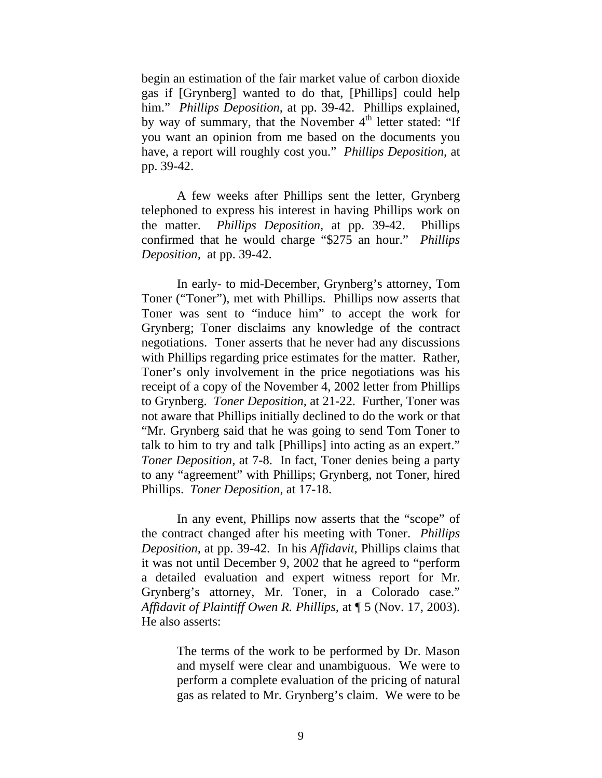begin an estimation of the fair market value of carbon dioxide gas if [Grynberg] wanted to do that, [Phillips] could help him." *Phillips Deposition*, at pp. 39-42. Phillips explained, by way of summary, that the November 4<sup>th</sup> letter stated: "If you want an opinion from me based on the documents you have, a report will roughly cost you." *Phillips Deposition,* at pp. 39-42.

A few weeks after Phillips sent the letter, Grynberg telephoned to express his interest in having Phillips work on the matter. *Phillips Deposition,* at pp. 39-42. Phillips confirmed that he would charge "\$275 an hour." *Phillips Deposition,* at pp. 39-42.

In early- to mid-December, Grynberg's attorney, Tom Toner ("Toner"), met with Phillips. Phillips now asserts that Toner was sent to "induce him" to accept the work for Grynberg; Toner disclaims any knowledge of the contract negotiations. Toner asserts that he never had any discussions with Phillips regarding price estimates for the matter. Rather, Toner's only involvement in the price negotiations was his receipt of a copy of the November 4, 2002 letter from Phillips to Grynberg. *Toner Deposition,* at 21-22. Further, Toner was not aware that Phillips initially declined to do the work or that "Mr. Grynberg said that he was going to send Tom Toner to talk to him to try and talk [Phillips] into acting as an expert." *Toner Deposition,* at 7-8. In fact, Toner denies being a party to any "agreement" with Phillips; Grynberg, not Toner, hired Phillips. *Toner Deposition,* at 17-18.

In any event, Phillips now asserts that the "scope" of the contract changed after his meeting with Toner. *Phillips Deposition,* at pp. 39-42. In his *Affidavit,* Phillips claims that it was not until December 9, 2002 that he agreed to "perform a detailed evaluation and expert witness report for Mr. Grynberg's attorney, Mr. Toner, in a Colorado case." *Affidavit of Plaintiff Owen R. Phillips,* at ¶ 5 (Nov. 17, 2003). He also asserts:

> The terms of the work to be performed by Dr. Mason and myself were clear and unambiguous. We were to perform a complete evaluation of the pricing of natural gas as related to Mr. Grynberg's claim. We were to be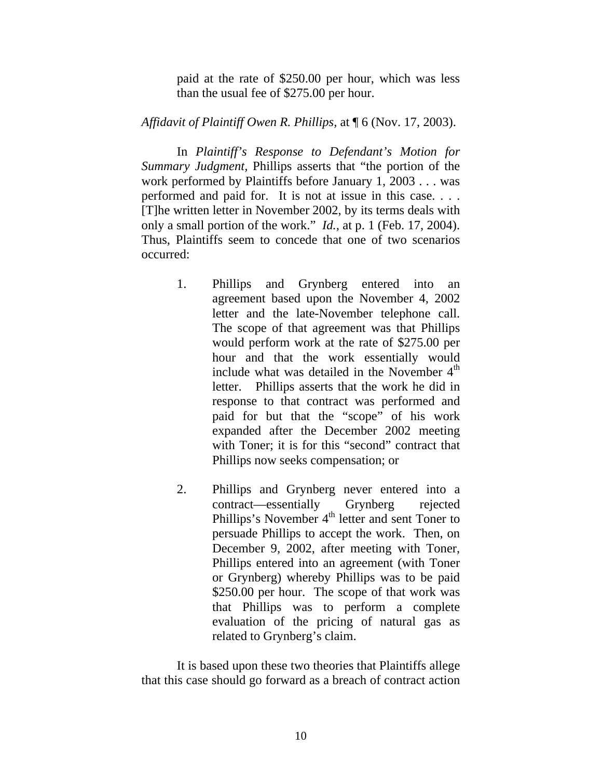paid at the rate of \$250.00 per hour, which was less than the usual fee of \$275.00 per hour.

*Affidavit of Plaintiff Owen R. Phillips,* at ¶ 6 (Nov. 17, 2003).

In *Plaintiff's Response to Defendant's Motion for Summary Judgment,* Phillips asserts that "the portion of the work performed by Plaintiffs before January 1, 2003 . . . was performed and paid for. It is not at issue in this case. . . . [T]he written letter in November 2002, by its terms deals with only a small portion of the work." *Id.,* at p. 1 (Feb. 17, 2004). Thus, Plaintiffs seem to concede that one of two scenarios occurred:

- 1. Phillips and Grynberg entered into an agreement based upon the November 4, 2002 letter and the late-November telephone call. The scope of that agreement was that Phillips would perform work at the rate of \$275.00 per hour and that the work essentially would include what was detailed in the November  $4<sup>th</sup>$ letter. Phillips asserts that the work he did in response to that contract was performed and paid for but that the "scope" of his work expanded after the December 2002 meeting with Toner; it is for this "second" contract that Phillips now seeks compensation; or
- 2. Phillips and Grynberg never entered into a contract—essentially Grynberg rejected Phillips's November  $4<sup>th</sup>$  letter and sent Toner to persuade Phillips to accept the work. Then, on December 9, 2002, after meeting with Toner, Phillips entered into an agreement (with Toner or Grynberg) whereby Phillips was to be paid \$250.00 per hour. The scope of that work was that Phillips was to perform a complete evaluation of the pricing of natural gas as related to Grynberg's claim.

It is based upon these two theories that Plaintiffs allege that this case should go forward as a breach of contract action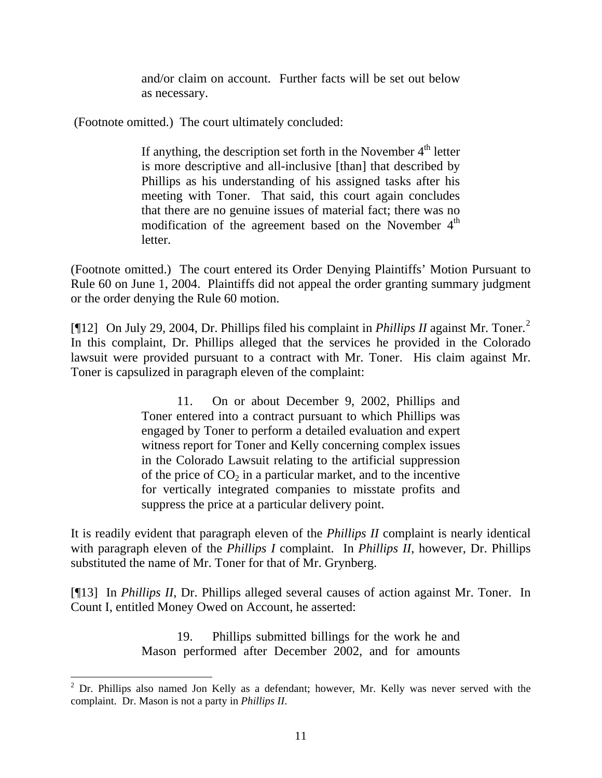and/or claim on account. Further facts will be set out below as necessary.

(Footnote omitted.) The court ultimately concluded:

If anything, the description set forth in the November  $4<sup>th</sup>$  letter is more descriptive and all-inclusive [than] that described by Phillips as his understanding of his assigned tasks after his meeting with Toner. That said, this court again concludes that there are no genuine issues of material fact; there was no modification of the agreement based on the November  $4<sup>th</sup>$ letter.

(Footnote omitted.) The court entered its Order Denying Plaintiffs' Motion Pursuant to Rule 60 on June 1, 2004. Plaintiffs did not appeal the order granting summary judgment or the order denying the Rule 60 motion.

[¶1[2](#page-11-0)] On July 29, 2004, Dr. Phillips filed his complaint in *Phillips II* against Mr. Toner.<sup>2</sup> In this complaint, Dr. Phillips alleged that the services he provided in the Colorado lawsuit were provided pursuant to a contract with Mr. Toner. His claim against Mr. Toner is capsulized in paragraph eleven of the complaint:

> 11. On or about December 9, 2002, Phillips and Toner entered into a contract pursuant to which Phillips was engaged by Toner to perform a detailed evaluation and expert witness report for Toner and Kelly concerning complex issues in the Colorado Lawsuit relating to the artificial suppression of the price of  $CO<sub>2</sub>$  in a particular market, and to the incentive for vertically integrated companies to misstate profits and suppress the price at a particular delivery point.

It is readily evident that paragraph eleven of the *Phillips II* complaint is nearly identical with paragraph eleven of the *Phillips I* complaint. In *Phillips II*, however, Dr. Phillips substituted the name of Mr. Toner for that of Mr. Grynberg.

[¶13] In *Phillips II*, Dr. Phillips alleged several causes of action against Mr. Toner. In Count I, entitled Money Owed on Account, he asserted:

> 19. Phillips submitted billings for the work he and Mason performed after December 2002, and for amounts

<span id="page-11-0"></span><sup>&</sup>lt;sup>2</sup> Dr. Phillips also named Jon Kelly as a defendant; however, Mr. Kelly was never served with the complaint. Dr. Mason is not a party in *Phillips II*.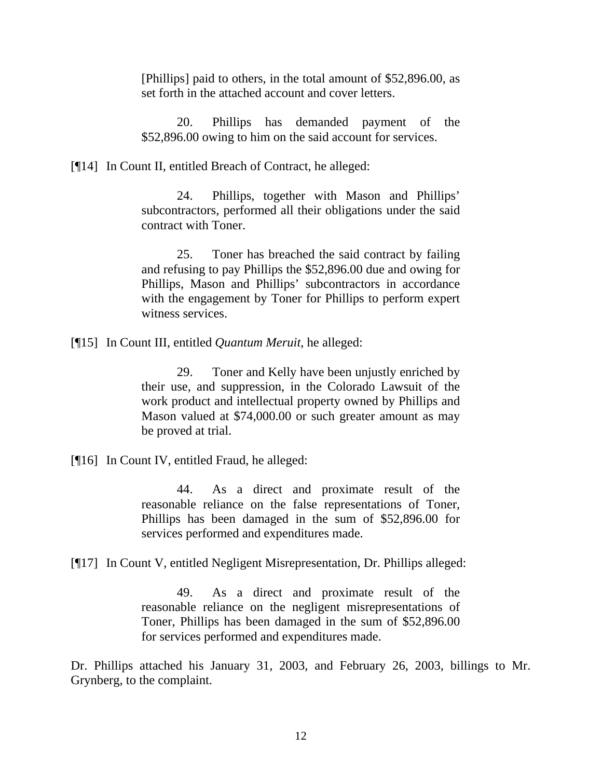[Phillips] paid to others, in the total amount of \$52,896.00, as set forth in the attached account and cover letters.

20. Phillips has demanded payment of the \$52,896.00 owing to him on the said account for services.

[¶14] In Count II, entitled Breach of Contract, he alleged:

24. Phillips, together with Mason and Phillips' subcontractors, performed all their obligations under the said contract with Toner.

25. Toner has breached the said contract by failing and refusing to pay Phillips the \$52,896.00 due and owing for Phillips, Mason and Phillips' subcontractors in accordance with the engagement by Toner for Phillips to perform expert witness services.

[¶15] In Count III, entitled *Quantum Meruit*, he alleged:

29. Toner and Kelly have been unjustly enriched by their use, and suppression, in the Colorado Lawsuit of the work product and intellectual property owned by Phillips and Mason valued at \$74,000.00 or such greater amount as may be proved at trial.

[¶16] In Count IV, entitled Fraud, he alleged:

44. As a direct and proximate result of the reasonable reliance on the false representations of Toner, Phillips has been damaged in the sum of \$52,896.00 for services performed and expenditures made.

[¶17] In Count V, entitled Negligent Misrepresentation, Dr. Phillips alleged:

49. As a direct and proximate result of the reasonable reliance on the negligent misrepresentations of Toner, Phillips has been damaged in the sum of \$52,896.00 for services performed and expenditures made.

Dr. Phillips attached his January 31, 2003, and February 26, 2003, billings to Mr. Grynberg, to the complaint.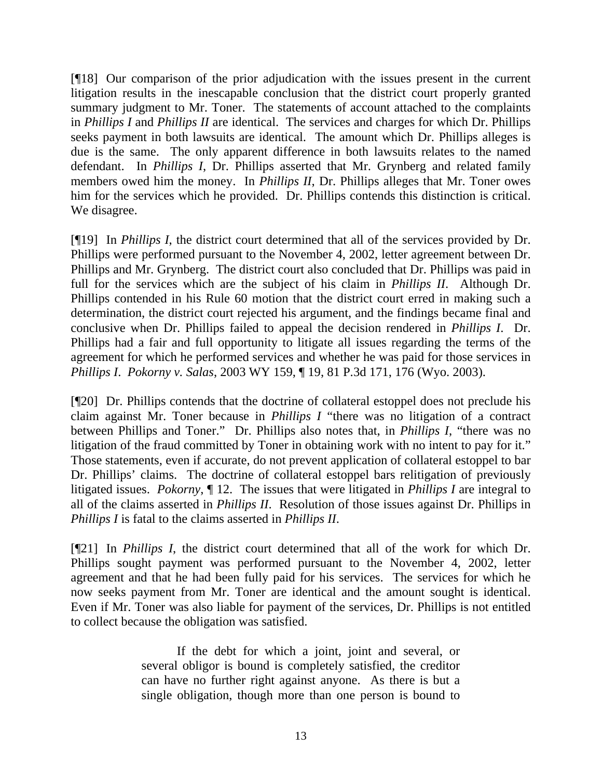[¶18] Our comparison of the prior adjudication with the issues present in the current litigation results in the inescapable conclusion that the district court properly granted summary judgment to Mr. Toner. The statements of account attached to the complaints in *Phillips I* and *Phillips II* are identical. The services and charges for which Dr. Phillips seeks payment in both lawsuits are identical. The amount which Dr. Phillips alleges is due is the same. The only apparent difference in both lawsuits relates to the named defendant. In *Phillips I*, Dr. Phillips asserted that Mr. Grynberg and related family members owed him the money. In *Phillips II*, Dr. Phillips alleges that Mr. Toner owes him for the services which he provided. Dr. Phillips contends this distinction is critical. We disagree.

[¶19] In *Phillips I*, the district court determined that all of the services provided by Dr. Phillips were performed pursuant to the November 4, 2002, letter agreement between Dr. Phillips and Mr. Grynberg. The district court also concluded that Dr. Phillips was paid in full for the services which are the subject of his claim in *Phillips II*. Although Dr. Phillips contended in his Rule 60 motion that the district court erred in making such a determination, the district court rejected his argument, and the findings became final and conclusive when Dr. Phillips failed to appeal the decision rendered in *Phillips I*. Dr. Phillips had a fair and full opportunity to litigate all issues regarding the terms of the agreement for which he performed services and whether he was paid for those services in *Phillips I*. *Pokorny v. Salas*, 2003 WY 159, ¶ 19, 81 P.3d 171, 176 (Wyo. 2003).

[¶20] Dr. Phillips contends that the doctrine of collateral estoppel does not preclude his claim against Mr. Toner because in *Phillips I* "there was no litigation of a contract between Phillips and Toner." Dr. Phillips also notes that, in *Phillips I*, "there was no litigation of the fraud committed by Toner in obtaining work with no intent to pay for it." Those statements, even if accurate, do not prevent application of collateral estoppel to bar Dr. Phillips' claims. The doctrine of collateral estoppel bars relitigation of previously litigated issues. *Pokorny*, ¶ 12. The issues that were litigated in *Phillips I* are integral to all of the claims asserted in *Phillips II*. Resolution of those issues against Dr. Phillips in *Phillips I* is fatal to the claims asserted in *Phillips II*.

[¶21] In *Phillips I*, the district court determined that all of the work for which Dr. Phillips sought payment was performed pursuant to the November 4, 2002, letter agreement and that he had been fully paid for his services. The services for which he now seeks payment from Mr. Toner are identical and the amount sought is identical. Even if Mr. Toner was also liable for payment of the services, Dr. Phillips is not entitled to collect because the obligation was satisfied.

> If the debt for which a joint, joint and several, or several obligor is bound is completely satisfied, the creditor can have no further right against anyone. As there is but a single obligation, though more than one person is bound to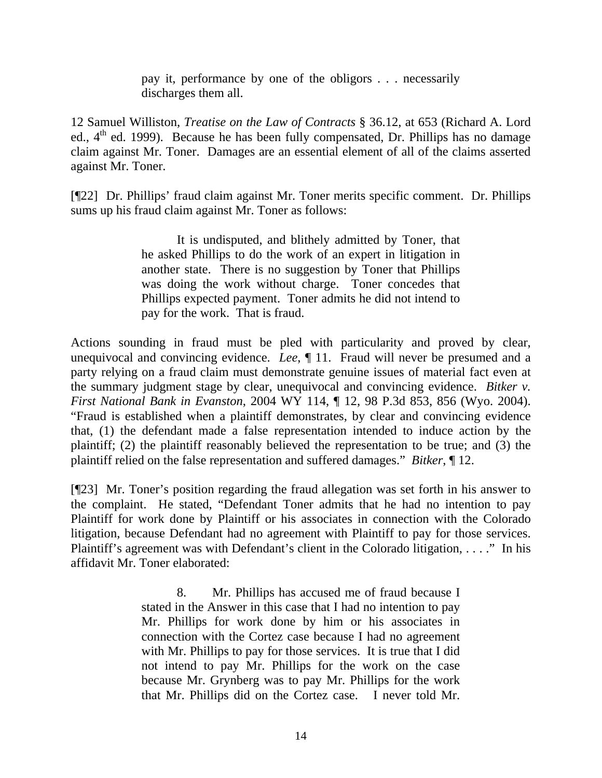pay it, performance by one of the obligors . . . necessarily discharges them all.

12 Samuel Williston, *Treatise on the Law of Contracts* § 36.12, at 653 (Richard A. Lord ed.,  $4<sup>th</sup>$  ed. 1999). Because he has been fully compensated, Dr. Phillips has no damage claim against Mr. Toner. Damages are an essential element of all of the claims asserted against Mr. Toner.

[¶22] Dr. Phillips' fraud claim against Mr. Toner merits specific comment. Dr. Phillips sums up his fraud claim against Mr. Toner as follows:

> It is undisputed, and blithely admitted by Toner, that he asked Phillips to do the work of an expert in litigation in another state. There is no suggestion by Toner that Phillips was doing the work without charge. Toner concedes that Phillips expected payment. Toner admits he did not intend to pay for the work. That is fraud.

Actions sounding in fraud must be pled with particularity and proved by clear, unequivocal and convincing evidence. *Lee*, ¶ 11. Fraud will never be presumed and a party relying on a fraud claim must demonstrate genuine issues of material fact even at the summary judgment stage by clear, unequivocal and convincing evidence. *Bitker v. First National Bank in Evanston*, 2004 WY 114, ¶ 12, 98 P.3d 853, 856 (Wyo. 2004). "Fraud is established when a plaintiff demonstrates, by clear and convincing evidence that, (1) the defendant made a false representation intended to induce action by the plaintiff; (2) the plaintiff reasonably believed the representation to be true; and (3) the plaintiff relied on the false representation and suffered damages." *Bitker*, ¶ 12.

[¶23] Mr. Toner's position regarding the fraud allegation was set forth in his answer to the complaint. He stated, "Defendant Toner admits that he had no intention to pay Plaintiff for work done by Plaintiff or his associates in connection with the Colorado litigation, because Defendant had no agreement with Plaintiff to pay for those services. Plaintiff's agreement was with Defendant's client in the Colorado litigation, . . . ." In his affidavit Mr. Toner elaborated:

> 8. Mr. Phillips has accused me of fraud because I stated in the Answer in this case that I had no intention to pay Mr. Phillips for work done by him or his associates in connection with the Cortez case because I had no agreement with Mr. Phillips to pay for those services. It is true that I did not intend to pay Mr. Phillips for the work on the case because Mr. Grynberg was to pay Mr. Phillips for the work that Mr. Phillips did on the Cortez case. I never told Mr.